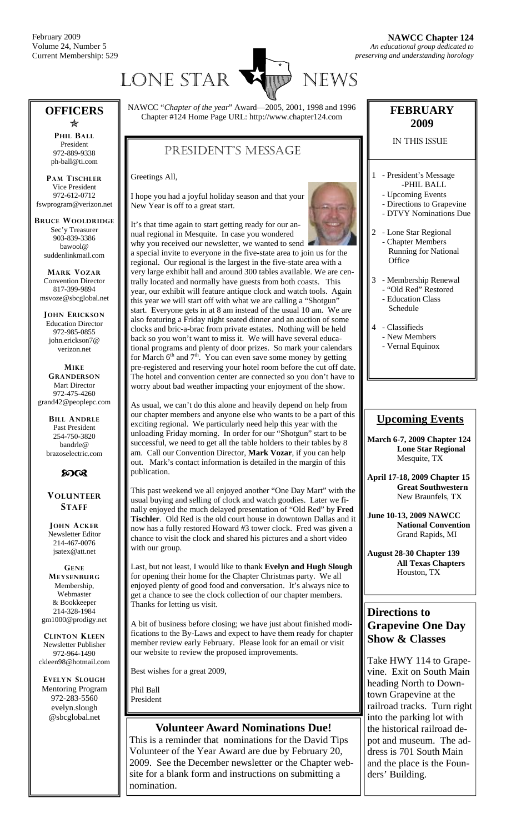February 2009 Volume 24, Number 5 Current Membership: 529



#### **OFFICERS**   $\bigstar$

**PHIL BALL** President 972-889-9338 ph-ball@ti.com

**PAM TISCHLER** Vice President 972-612-0712 fswprogram@verizon.net

**BRUCE WOOLDRIDGE** Sec'y Treasurer 903-839-3386 bawool@ suddenlinkmail.com

**MARK VOZAR** Convention Director 817-399-9894 msvoze@sbcglobal.net

**JOHN ERICKSON** Education Director 972-985-0855 john.erickson7@ verizon.net

**MIKE GRANDERSON** Mart Director 972-475-4260 grand42@peoplepc.com

> **BILL ANDRLE** Past President 254-750-3820 bandrle@ brazoselectric.com

#### $60<sup>o</sup>$

#### **VOLUNTEER STAFF**

**JOHN ACKER** Newsletter Editor 214-467-0076 jsatex@att.net

**GENE MEYSENBURG** Membership, Webmaster & Bookkeeper 214-328-1984 gm1000@prodigy.net

**CLINTON KLEEN** Newsletter Publisher 972-964-1490 ckleen98@hotmail.com

**EVELYN SLOUGH** Mentoring Program 972-283-5560 evelyn.slough @sbcglobal.net

NAWCC "*Chapter of the year*" Award—2005, 2001, 1998 and 1996 Chapter #124 Home Page URL: http://www.chapter124.com

#### PRESIDENT'S MESSAGE

Greetings All,

I hope you had a joyful holiday season and that your New Year is off to a great start.

It's that time again to start getting ready for our annual regional in Mesquite. In case you wondered why you received our newsletter, we wanted to send a special invite to everyone in the five-state area to join us for the regional. Our regional is the largest in the five-state area with a very large exhibit hall and around 300 tables available. We are centrally located and normally have guests from both coasts. This year, our exhibit will feature antique clock and watch tools. Again this year we will start off with what we are calling a "Shotgun" start. Everyone gets in at 8 am instead of the usual 10 am. We are also featuring a Friday night seated dinner and an auction of some clocks and bric-a-brac from private estates. Nothing will be held back so you won't want to miss it. We will have several educational programs and plenty of door prizes. So mark your calendars for March  $6<sup>th</sup>$  and  $7<sup>th</sup>$ . You can even save some money by getting pre-registered and reserving your hotel room before the cut off date. The hotel and convention center are connected so you don't have to worry about bad weather impacting your enjoyment of the show.

As usual, we can't do this alone and heavily depend on help from our chapter members and anyone else who wants to be a part of this exciting regional. We particularly need help this year with the unloading Friday morning. In order for our "Shotgun" start to be successful, we need to get all the table holders to their tables by 8 am. Call our Convention Director, **Mark Vozar**, if you can help out. Mark's contact information is detailed in the margin of this publication.

This past weekend we all enjoyed another "One Day Mart" with the usual buying and selling of clock and watch goodies. Later we finally enjoyed the much delayed presentation of "Old Red" by **Fred Tischler**. Old Red is the old court house in downtown Dallas and it now has a fully restored Howard #3 tower clock. Fred was given a chance to visit the clock and shared his pictures and a short video with our group.

Last, but not least, I would like to thank **Evelyn and Hugh Slough**  for opening their home for the Chapter Christmas party. We all enjoyed plenty of good food and conversation. It's always nice to get a chance to see the clock collection of our chapter members. Thanks for letting us visit.

A bit of business before closing; we have just about finished modifications to the By-Laws and expect to have them ready for chapter member review early February. Please look for an email or visit our website to review the proposed improvements.

Best wishes for a great 2009,

Phil Ball President

#### **Volunteer Award Nominations Due!**

This is a reminder that nominations for the David Tips Volunteer of the Year Award are due by February 20, 2009. See the December newsletter or the Chapter website for a blank form and instructions on submitting a nomination.

#### **FEBRUARY 2009**

#### IN THIS ISSUE

- 1 President's Message -PHIL BALL
	- Upcoming Events
	- Directions to Grapevine
	- DTVY Nominations Due
- 2 Lone Star Regional **Chapter Members**  Running for National **Office**
- 3 Membership Renewal - "Old Red" Restored
	- Education Class Schedule
- 4 Classifieds - New Members
	- Vernal Equinox

#### **Upcoming Events**

**March 6-7, 2009 Chapter 124 Lone Star Regional**  Mesquite, TX

**April 17-18, 2009 Chapter 15 Great Southwestern**  New Braunfels, TX

**June 10-13, 2009 NAWCC National Convention** Grand Rapids, MI

**August 28-30 Chapter 139 All Texas Chapters**  Houston, TX

#### **Directions to Grapevine One Day Show & Classes**

Take HWY 114 to Grapevine. Exit on South Main heading North to Downtown Grapevine at the railroad tracks. Turn right into the parking lot with the historical railroad depot and museum. The address is 701 South Main and the place is the Founders' Building.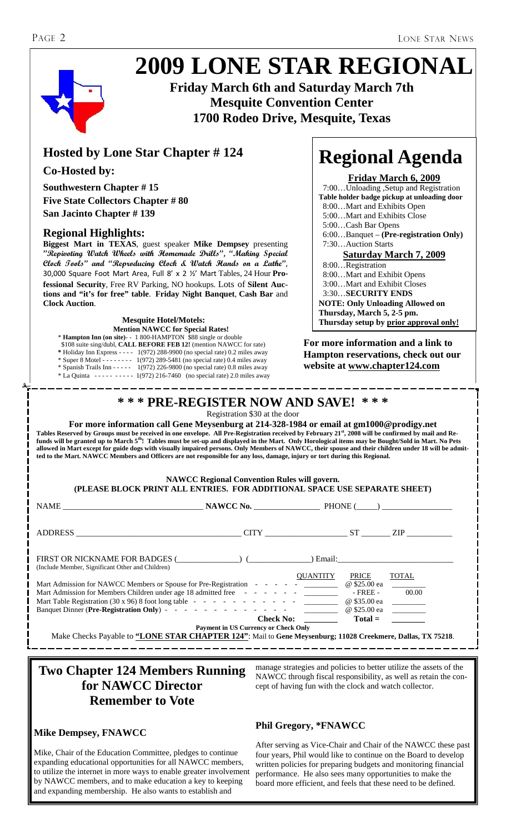## **2009 LONE STAR REGIONAL**



**Friday March 6th and Saturday March 7th Mesquite Convention Center 1700 Rodeo Drive, Mesquite, Texas** 

#### **Hosted by Lone Star Chapter # 124**

#### **Co-Hosted by:**

**Southwestern Chapter # 15 Five State Collectors Chapter # 80 San Jacinto Chapter # 139** 

#### **Regional Highlights:**

**Biggest Mart in TEXAS**, guest speaker **Mike Dempsey** presenting **"Repivoting Watch Wheels with Homemade Drills", "Making Special Clock Tools" and "Reproducing Clock & Watch Hands on a Lathe"**, 30,000 Square Foot Mart Area, Full 8' x 2 ½' Mart Tables, 24 Hour **Professional Security**, Free RV Parking, NO hookups. Lots of **Silent Auctions and "it's for free" table**. **Friday Night Banquet**, **Cash Bar** and **Clock Auction**.

**Mesquite Hotel/Motels: Thursday setup by prior approval only! Mention NAWCC for Special Rates!** \* **Hampton Inn (on site)**- - 1 800-HAMPTON \$88 single or double \$108 suite sing/dubl, **CALL BEFORE FEB 12!** (mention NAWCC for rate) **\*** Holiday Inn Express - - - - 1(972) 288-9900 (no special rate) 0.2 miles away  $*$  Super 8 Motel - - - - - - - 1(972) 289-5481 (no special rate) 0.4 miles away \* Spanish Trails Inn - - - - - 1(972) 226-9800 (no special rate) 0.8 miles away \* La Quinta - - - - - - - - - - 1(972) 216-7460 (no special rate) 2.0 miles away

## **Regional Agenda**

#### **Friday March 6, 2009**

 7:00…Unloading ,Setup and Registration **Table holder badge pickup at unloading door** 8:00…Mart and Exhibits Open 5:00…Mart and Exhibits Close 5:00…Cash Bar Opens 6:00…Banquet – **(Pre-registration Only)** 7:30…Auction Starts **Saturday March 7, 2009** 8:00…Registration 8:00…Mart and Exhibit Opens 3:00…Mart and Exhibit Closes 3:30…**SECURITY ENDS NOTE: Only Unloading Allowed on Thursday, March 5, 2-5 pm.** 

**For more information and a link to Hampton reservations, check out our website at www.chapter124.com** 

#### **\* \* \* PRE-REGISTER NOW AND SAVE! \* \* \***

Registration \$30 at the door

**For more information call Gene Meysenburg at 214-328-1984 or email at gm1000@prodigy.net Tables Reserved by Groups must be received in one envelope. All Pre-Registration received by February 21st, 2008 will be confirmed by mail and Refunds will be granted up to March 5th! Tables must be set-up and displayed in the Mart. Only Horological items may be Bought/Sold in Mart. No Pets allowed in Mart except for guide dogs with visually impaired persons. Only Members of NAWCC, their spouse and their children under 18 will be admitted to the Mart. NAWCC Members and Officers are not responsible for any loss, damage, injury or tort during this Regional.** 

#### **NAWCC Regional Convention Rules will govern. (PLEASE BLOCK PRINT ALL ENTRIES. FOR ADDITIONAL SPACE USE SEPARATE SHEET)**

| $NAME$ PHONE $\qquad \qquad \text{NAWCC No.}$ PHONE $\qquad \qquad \text{PE$                                |                                             |                 |              |              |
|-------------------------------------------------------------------------------------------------------------|---------------------------------------------|-----------------|--------------|--------------|
| ADDRESS CITY ST ZIP                                                                                         |                                             |                 |              |              |
| FIRST OR NICKNAME FOR BADGES ( ) (<br>(Include Member, Significant Other and Children)                      |                                             |                 |              | Email:       |
|                                                                                                             |                                             | <b>OUANTITY</b> | PRICE        | <b>TOTAL</b> |
| Mart Admission for NAWCC Members or Spouse for Pre-Registration - - - - - - ______                          |                                             |                 | @ \$25.00 ea |              |
| Mart Admission for Members Children under age 18 admitted free - - - - - - - ________                       |                                             |                 | $-$ FREE $-$ | 00.00        |
|                                                                                                             |                                             |                 |              |              |
|                                                                                                             |                                             |                 | @ \$25.00 ea |              |
|                                                                                                             | Check No:                                   |                 | $Total =$    |              |
|                                                                                                             | <b>Payment in US Currency or Check Only</b> |                 |              |              |
| Make Checks Payable to "LONE STAR CHAPTER 124": Mail to Gene Meysenburg; 11028 Creekmere, Dallas, TX 75218. |                                             |                 |              |              |

#### **Two Chapter 124 Members Running for NAWCC Director Remember to Vote**

#### **Mike Dempsey, FNAWCC**

Mike, Chair of the Education Committee, pledges to continue expanding educational opportunities for all NAWCC members, to utilize the internet in more ways to enable greater involvement by NAWCC members, and to make education a key to keeping and expanding membership. He also wants to establish and

manage strategies and policies to better utilize the assets of the NAWCC through fiscal responsibility, as well as retain the concept of having fun with the clock and watch collector.

#### **Phil Gregory, \*FNAWCC**

After serving as Vice-Chair and Chair of the NAWCC these past four years, Phil would like to continue on the Board to develop written policies for preparing budgets and monitoring financial performance. He also sees many opportunities to make the board more efficient, and feels that these need to be defined.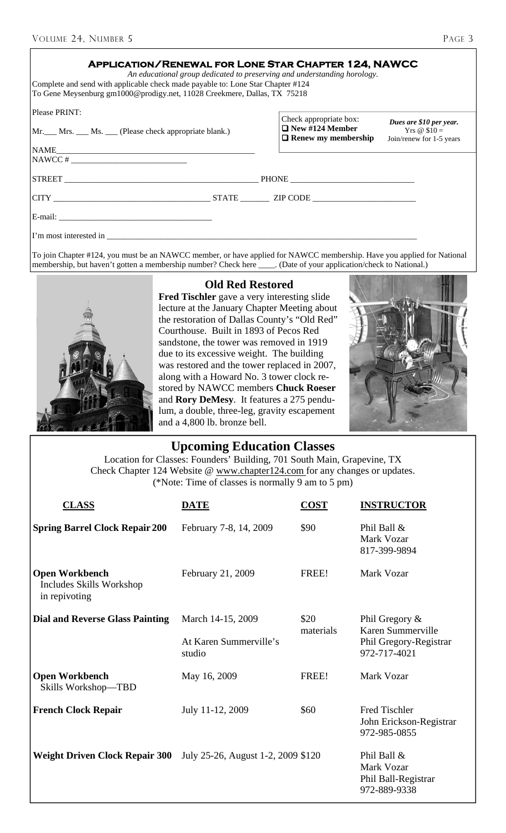| <b>APPLICATION/RENEWAL FOR LONE STAR CHAPTER 124, NAWCC</b><br>An educational group dedicated to preserving and understanding horology.<br>Complete and send with applicable check made payable to: Lone Star Chapter #124<br>To Gene Meysenburg gm1000@prodigy.net, 11028 Creekmere, Dallas, TX 75218                  |                                                                                |                                                                      |  |
|-------------------------------------------------------------------------------------------------------------------------------------------------------------------------------------------------------------------------------------------------------------------------------------------------------------------------|--------------------------------------------------------------------------------|----------------------------------------------------------------------|--|
| Please PRINT:<br>Mr. Mrs. Ms. Clease check appropriate blank.)                                                                                                                                                                                                                                                          | Check appropriate box:<br>$\Box$ New #124 Member<br>$\Box$ Renew my membership | Dues are \$10 per year.<br>Yrs @ $$10 =$<br>Join/renew for 1-5 years |  |
| $NAWCC$ # $\frac{1}{2}$ $\frac{1}{2}$ $\frac{1}{2}$ $\frac{1}{2}$ $\frac{1}{2}$ $\frac{1}{2}$ $\frac{1}{2}$ $\frac{1}{2}$ $\frac{1}{2}$ $\frac{1}{2}$ $\frac{1}{2}$ $\frac{1}{2}$ $\frac{1}{2}$ $\frac{1}{2}$ $\frac{1}{2}$ $\frac{1}{2}$ $\frac{1}{2}$ $\frac{1}{2}$ $\frac{1}{2}$ $\frac{1}{2}$ $\frac{1}{2}$ $\frac$ |                                                                                |                                                                      |  |
|                                                                                                                                                                                                                                                                                                                         |                                                                                |                                                                      |  |
|                                                                                                                                                                                                                                                                                                                         |                                                                                |                                                                      |  |
|                                                                                                                                                                                                                                                                                                                         |                                                                                |                                                                      |  |
| I'm most interested in                                                                                                                                                                                                                                                                                                  |                                                                                |                                                                      |  |

To join Chapter #124, you must be an NAWCC member, or have applied for NAWCC membership. Have you applied for National membership, but haven't gotten a membership number? Check here \_\_\_\_\_. (Date of your application/check t membership, but haven't gotten a membership number? Check here \_\_\_\_



#### **Old Red Restored**

**Fred Tischler** gave a very interesting slide lecture at the January Chapter Meeting about the restoration of Dallas County's "Old Red" Courthouse. Built in 1893 of Pecos Red sandstone, the tower was removed in 1919 due to its excessive weight. The building was restored and the tower replaced in 2007, along with a Howard No. 3 tower clock restored by NAWCC members **Chuck Roeser**  and **Rory DeMesy**. It features a 275 pendulum, a double, three-leg, gravity escapement and a 4,800 lb. bronze bell.



#### **Upcoming Education Classes**

Location for Classes: Founders' Building, 701 South Main, Grapevine, TX Check Chapter 124 Website @ www.chapter124.com for any changes or updates. (\*Note: Time of classes is normally 9 am to 5 pm)

| <b>CLASS</b>                                                       | <b>DATE</b>                        | <b>COST</b>       | <b>INSTRUCTOR</b>                                                                |
|--------------------------------------------------------------------|------------------------------------|-------------------|----------------------------------------------------------------------------------|
| <b>Spring Barrel Clock Repair 200</b>                              | February 7-8, 14, 2009             | \$90              | Phil Ball &<br>Mark Vozar<br>817-399-9894                                        |
| <b>Open Workbench</b><br>Includes Skills Workshop<br>in repivoting | February 21, 2009                  | FREE!             | Mark Vozar                                                                       |
| <b>Dial and Reverse Glass Painting</b>                             | March 14-15, 2009                  | \$20<br>materials | Phil Gregory $\&$<br>Karen Summerville<br>Phil Gregory-Registrar<br>972-717-4021 |
|                                                                    | At Karen Summerville's<br>studio   |                   |                                                                                  |
| <b>Open Workbench</b><br>Skills Workshop-TBD                       | May 16, 2009                       | FREE!             | Mark Vozar                                                                       |
| <b>French Clock Repair</b>                                         | July 11-12, 2009                   | \$60              | Fred Tischler<br>John Erickson-Registrar<br>972-985-0855                         |
| <b>Weight Driven Clock Repair 300</b>                              | July 25-26, August 1-2, 2009 \$120 |                   | Phil Ball &<br>Mark Vozar<br>Phil Ball-Registrar<br>972-889-9338                 |